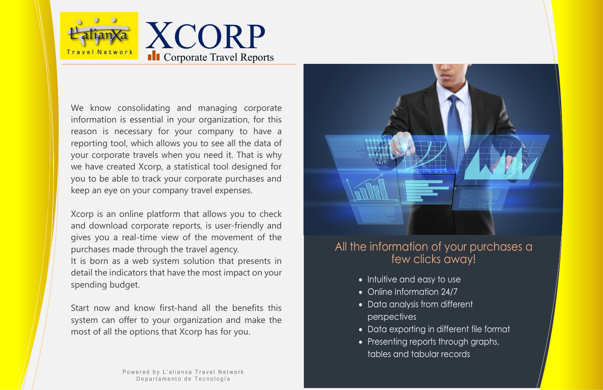

- Intuitive and easy to use
- Online Information 24/7
- Data analysis from different perspectives
- Data exporting in different file format
- Presenting reports through graphs, tables and tabular records

XCORP **II** Corporate Travel Reports

We know consolidating and managing corporate information is essential in your organization, for this reason is necessary for your company to have a reporting tool, which allows you to see all the data of your corporate travels when you need it. That is why we have created Xcorp, a statistical tool designed for you to be able to track your corporate purchases and keep an eye on your company travel expenses.

Xcorp is an online platform that allows you to check and download corporate reports, is user-friendly and gives you a real-time view of the movement of the purchases made through the travel agency. It is born as a web system solution that presents in detail the indicators that have the most impact on your spending budget.

Start now and know first-hand all the benefits this system can offer to your organization and make the most of all the options that Xcorp has for you.

> Powered by L'alianxa Travel Network Departamento de Tecnología



# All the information of your purchases a few clicks away!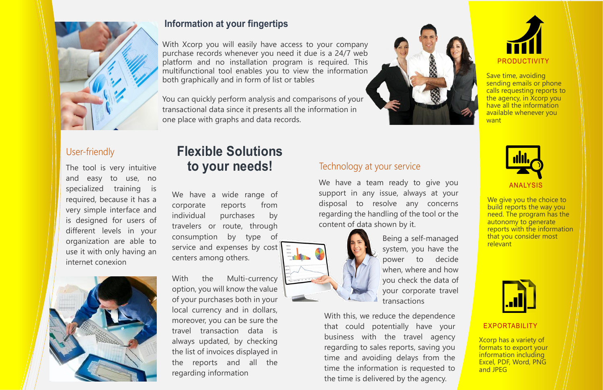

## **Information at your fingertips**

With Xcorp you will easily have access to your company purchase records whenever you need it due is a 24/7 web platform and no installation program is required. This multifunctional tool enables you to view the information both graphically and in form of list or tables

You can quickly perform analysis and comparisons of your transactional data since it presents all the information in one place with graphs and data records.



We give you the choice to build reports the way you need. The program has the autonomy to generate reports with the information that you consider most relevant



## Technology at your service



Save time, avoiding sending emails or phone calls requesting reports to the agency, in Xcorp you have all the information available whenever you want



#### ANALYSIS

### EXPORTABILITY

With the Multi-currency option, you will know the value of your purchases both in your local currency and in dollars, moreover, you can be sure the travel transaction data is always updated, by checking the list of invoices displayed in the reports and all the regarding information

Xcorp has a variety of formats to export your information including Excel, PDF, Word, PNG and JPEG

The tool is very intuitive and easy to use, no specialized training is required, because it has a very simple interface and is designed for users of different levels in your organization are able to use it with only having an internet conexion



## User-friendly

We have a wide range of corporate reports from individual purchases by travelers or route, through consumption by type of service and expenses by cost centers among others.

We have a team ready to give you support in any issue, always at your disposal to resolve any concerns regarding the handling of the tool or the content of data shown by it.



Being a self-managed system, you have the power to decide when, where and how you check the data of your corporate travel transactions

With this, we reduce the dependence that could potentially have your business with the travel agency regarding to sales reports, saving you time and avoiding delays from the time the information is requested to the time is delivered by the agency.

# **Flexible Solutions to your needs!**